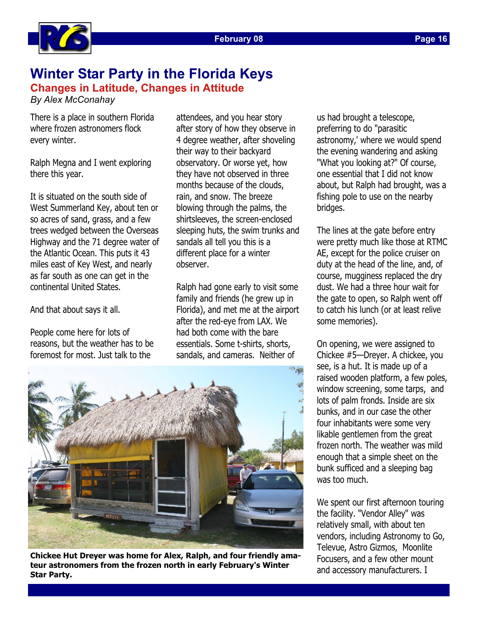

## **Page 16**

## **Winter Star Party in the Florida Keys Changes in Latitude, Changes in Attitude**

*By Alex McConahay* 

There is a place in southern Florida where frozen astronomers flock every winter.

Ralph Megna and I went exploring there this year.

It is situated on the south side of West Summerland Key, about ten or so acres of sand, grass, and a few trees wedged between the Overseas Highway and the 71 degree water of the Atlantic Ocean. This puts it 43 miles east of Key West, and nearly as far south as one can get in the continental United States.

And that about says it all.

People come here for lots of reasons, but the weather has to be foremost for most. Just talk to the

attendees, and you hear story after story of how they observe in 4 degree weather, after shoveling their way to their backyard observatory. Or worse yet, how they have not observed in three months because of the clouds, rain, and snow. The breeze blowing through the palms, the shirtsleeves, the screen-enclosed sleeping huts, the swim trunks and sandals all tell you this is a different place for a winter observer.

Ralph had gone early to visit some family and friends (he grew up in Florida), and met me at the airport after the red-eye from LAX. We had both come with the bare essentials. Some t-shirts, shorts, sandals, and cameras. Neither of



**Chickee Hut Dreyer was home for Alex, Ralph, and four friendly amateur astronomers from the frozen north in early February's Winter Star Party.** 

us had brought a telescope, preferring to do "parasitic astronomy,' where we would spend the evening wandering and asking "What you looking at?" Of course, one essential that I did not know about, but Ralph had brought, was a fishing pole to use on the nearby bridges.

The lines at the gate before entry were pretty much like those at RTMC AE, except for the police cruiser on duty at the head of the line, and, of course, mugginess replaced the dry dust. We had a three hour wait for the gate to open, so Ralph went off to catch his lunch (or at least relive some memories).

On opening, we were assigned to Chickee #5—Dreyer. A chickee, you see, is a hut. It is made up of a raised wooden platform, a few poles, window screening, some tarps, and lots of palm fronds. Inside are six bunks, and in our case the other four inhabitants were some very likable gentlemen from the great frozen north. The weather was mild enough that a simple sheet on the bunk sufficed and a sleeping bag was too much.

We spent our first afternoon touring the facility. "Vendor Alley" was relatively small, with about ten vendors, including Astronomy to Go, Televue, Astro Gizmos, Moonlite Focusers, and a few other mount and accessory manufacturers. I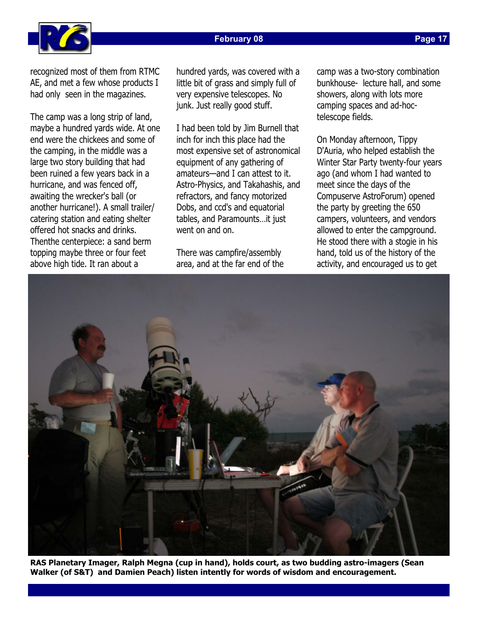## **February 08**



recognized most of them from RTMC AE, and met a few whose products I had only seen in the magazines.

The camp was a long strip of land, maybe a hundred yards wide. At one end were the chickees and some of the camping, in the middle was a large two story building that had been ruined a few years back in a hurricane, and was fenced off, awaiting the wrecker's ball (or another hurricane!). A small trailer/ catering station and eating shelter offered hot snacks and drinks. Thenthe centerpiece: a sand berm topping maybe three or four feet above high tide. It ran about a

hundred yards, was covered with a little bit of grass and simply full of very expensive telescopes. No junk. Just really good stuff.

I had been told by Jim Burnell that inch for inch this place had the most expensive set of astronomical equipment of any gathering of amateurs—and I can attest to it. Astro-Physics, and Takahashis, and refractors, and fancy motorized Dobs, and ccd's and equatorial tables, and Paramounts…it just went on and on.

There was campfire/assembly area, and at the far end of the camp was a two-story combination bunkhouse- lecture hall, and some showers, along with lots more camping spaces and ad-hoctelescope fields.

On Monday afternoon, Tippy D'Auria, who helped establish the Winter Star Party twenty-four years ago (and whom I had wanted to meet since the days of the Compuserve AstroForum) opened the party by greeting the 650 campers, volunteers, and vendors allowed to enter the campground. He stood there with a stogie in his hand, told us of the history of the activity, and encouraged us to get



**RAS Planetary Imager, Ralph Megna (cup in hand), holds court, as two budding astro-imagers (Sean Walker (of S&T) and Damien Peach) listen intently for words of wisdom and encouragement.**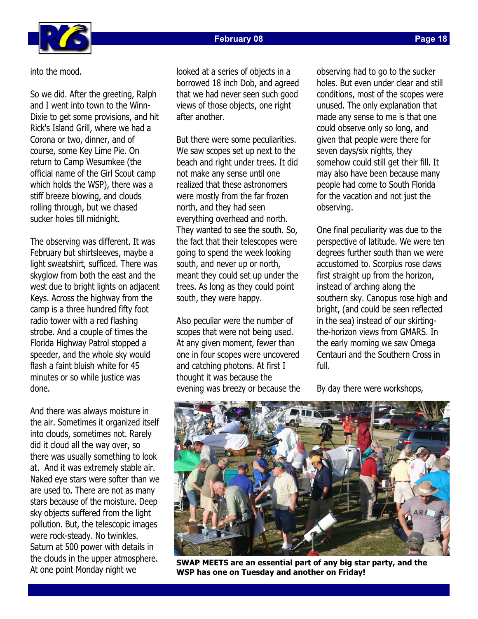

**Page 18** 

into the mood.

So we did. After the greeting, Ralph and I went into town to the Winn-Dixie to get some provisions, and hit Rick's Island Grill, where we had a Corona or two, dinner, and of course, some Key Lime Pie. On return to Camp Wesumkee (the official name of the Girl Scout camp which holds the WSP), there was a stiff breeze blowing, and clouds rolling through, but we chased sucker holes till midnight.

The observing was different. It was February but shirtsleeves, maybe a light sweatshirt, sufficed. There was skyglow from both the east and the west due to bright lights on adjacent Keys. Across the highway from the camp is a three hundred fifty foot radio tower with a red flashing strobe. And a couple of times the Florida Highway Patrol stopped a speeder, and the whole sky would flash a faint bluish white for 45 minutes or so while justice was done.

And there was always moisture in the air. Sometimes it organized itself into clouds, sometimes not. Rarely did it cloud all the way over, so there was usually something to look at. And it was extremely stable air. Naked eye stars were softer than we are used to. There are not as many stars because of the moisture. Deep sky objects suffered from the light pollution. But, the telescopic images were rock-steady. No twinkles. Saturn at 500 power with details in the clouds in the upper atmosphere. At one point Monday night we

looked at a series of objects in a borrowed 18 inch Dob, and agreed that we had never seen such good views of those objects, one right after another.

But there were some peculiarities. We saw scopes set up next to the beach and right under trees. It did not make any sense until one realized that these astronomers were mostly from the far frozen north, and they had seen everything overhead and north. They wanted to see the south. So, the fact that their telescopes were going to spend the week looking south, and never up or north, meant they could set up under the trees. As long as they could point south, they were happy.

Also peculiar were the number of scopes that were not being used. At any given moment, fewer than one in four scopes were uncovered and catching photons. At first I thought it was because the evening was breezy or because the observing had to go to the sucker holes. But even under clear and still conditions, most of the scopes were unused. The only explanation that made any sense to me is that one could observe only so long, and given that people were there for seven days/six nights, they somehow could still get their fill. It may also have been because many people had come to South Florida for the vacation and not just the observing.

One final peculiarity was due to the perspective of latitude. We were ten degrees further south than we were accustomed to. Scorpius rose claws first straight up from the horizon, instead of arching along the southern sky. Canopus rose high and bright, (and could be seen reflected in the sea) instead of our skirtingthe-horizon views from GMARS. In the early morning we saw Omega Centauri and the Southern Cross in full.

By day there were workshops,



**SWAP MEETS are an essential part of any big star party, and the WSP has one on Tuesday and another on Friday!**